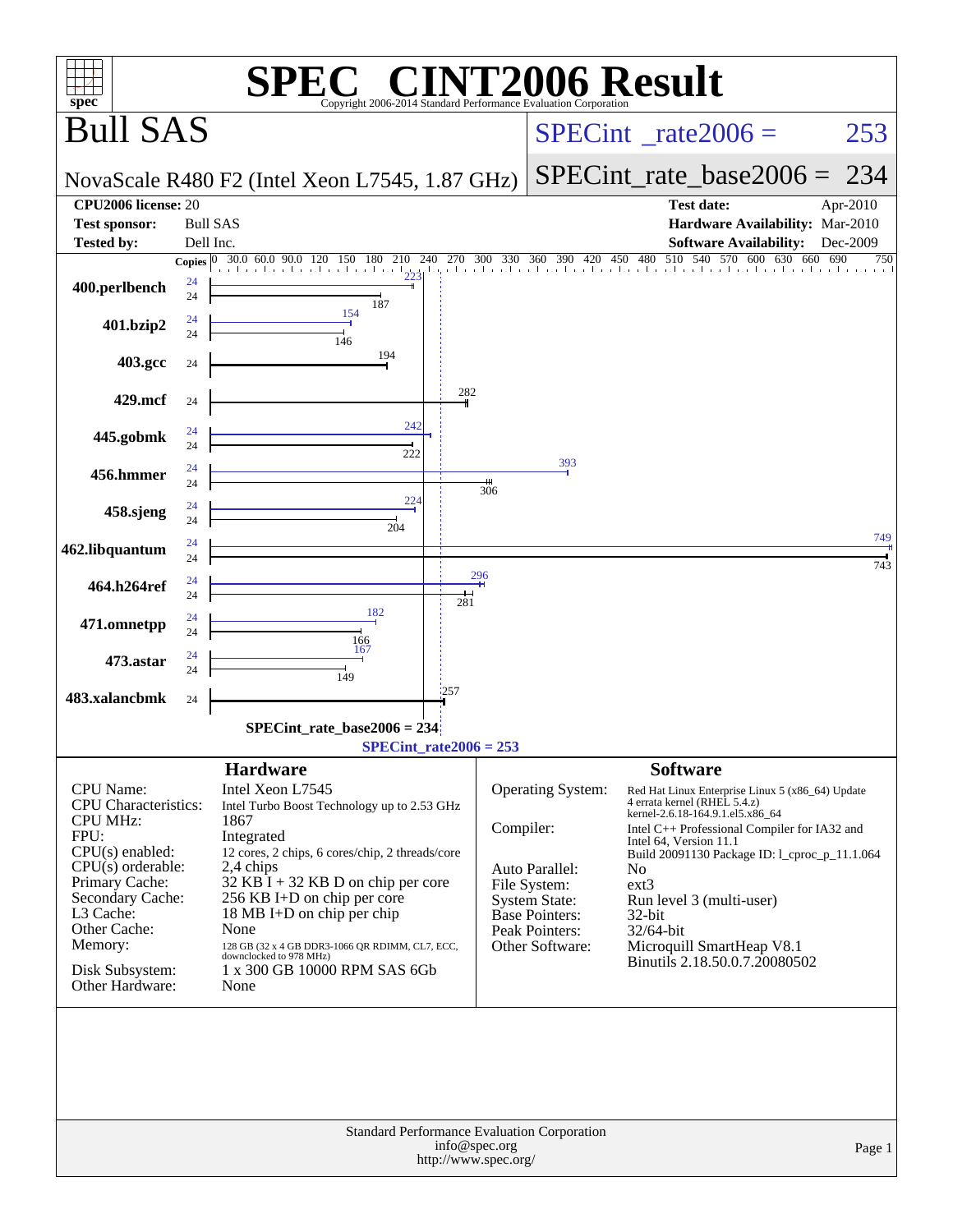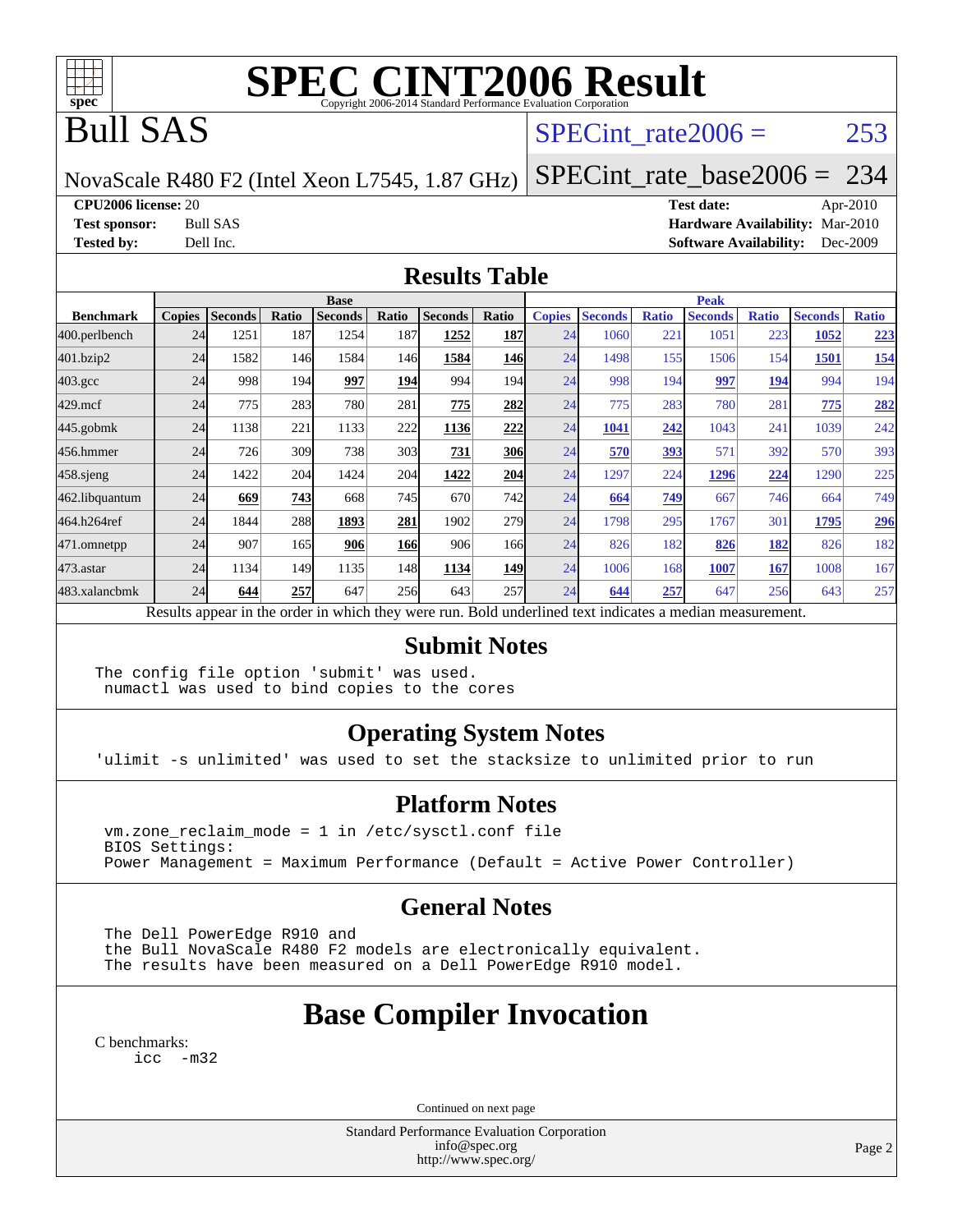

## **[SPEC CINT2006 Result](http://www.spec.org/auto/cpu2006/Docs/result-fields.html#SPECCINT2006Result)**

## Bull SAS

#### SPECint rate $2006 = 253$

NovaScale R480 F2 (Intel Xeon L7545, 1.87 GHz)

[SPECint\\_rate\\_base2006 =](http://www.spec.org/auto/cpu2006/Docs/result-fields.html#SPECintratebase2006) 234

#### **[CPU2006 license:](http://www.spec.org/auto/cpu2006/Docs/result-fields.html#CPU2006license)** 20 **[Test date:](http://www.spec.org/auto/cpu2006/Docs/result-fields.html#Testdate)** Apr-2010

**[Test sponsor:](http://www.spec.org/auto/cpu2006/Docs/result-fields.html#Testsponsor)** Bull SAS **[Hardware Availability:](http://www.spec.org/auto/cpu2006/Docs/result-fields.html#HardwareAvailability)** Mar-2010 **[Tested by:](http://www.spec.org/auto/cpu2006/Docs/result-fields.html#Testedby)** Dell Inc. **[Software Availability:](http://www.spec.org/auto/cpu2006/Docs/result-fields.html#SoftwareAvailability)** Dec-2009

#### **[Results Table](http://www.spec.org/auto/cpu2006/Docs/result-fields.html#ResultsTable)**

|                    | <b>Base</b>                                                                                              |                |       |                |       |                |            |               | <b>Peak</b>    |              |                |              |                |              |  |
|--------------------|----------------------------------------------------------------------------------------------------------|----------------|-------|----------------|-------|----------------|------------|---------------|----------------|--------------|----------------|--------------|----------------|--------------|--|
| <b>Benchmark</b>   | <b>Copies</b>                                                                                            | <b>Seconds</b> | Ratio | <b>Seconds</b> | Ratio | <b>Seconds</b> | Ratio      | <b>Copies</b> | <b>Seconds</b> | <b>Ratio</b> | <b>Seconds</b> | <b>Ratio</b> | <b>Seconds</b> | <b>Ratio</b> |  |
| 400.perlbench      | 24                                                                                                       | 1251           | 187   | 1254           | 187I  | 1252           | 187        | 24            | 1060           | 221          | 1051           | 223          | 1052           | 223          |  |
| 401.bzip2          | 24                                                                                                       | 1582           | 146   | 1584           | 146I  | 1584           | <b>146</b> | 24            | 1498           | 155          | 1506           | 154          | 1501           | 154          |  |
| $403.\mathrm{gcc}$ | 24                                                                                                       | 998            | 194   | 997            | 194   | 994            | 194        | 24            | 998            | 194          | 997            | <u> 194</u>  | 994            | 194          |  |
| $429$ .mcf         | 24                                                                                                       | 775            | 283   | 780            | 281   | 775            | 282        | 24            | 775            | 283          | 780            | 281          | 775            | 282          |  |
| $445$ .gobmk       | 24                                                                                                       | 1138           | 221   | 1133           | 222   | 1136           | 222        | 24            | 1041           | 242          | 1043           | 241          | 1039           | 242          |  |
| 456.hmmer          | 24                                                                                                       | 726            | 309   | 738            | 303   | 731            | <b>306</b> | 24            | 570            | 393          | 571            | 392          | 570            | 393          |  |
| $458$ .sjeng       | 24                                                                                                       | 1422           | 204   | 1424           | 204   | 1422           | 204        | 24            | 1297           | 224          | 1296           | 224          | 1290           | 225          |  |
| 462.libquantum     | 24                                                                                                       | 669            | 743   | 668            | 745   | 670            | 742        | 24            | 664            | 749          | 667            | 746          | 664            | 749          |  |
| 464.h264ref        | 24                                                                                                       | 1844           | 288   | 1893           | 281   | 1902           | 279        | 24            | 1798           | 295          | 1767           | 301          | 1795           | <u>296</u>   |  |
| 471.omnetpp        | 24                                                                                                       | 907            | 165   | 906            | 166   | 906            | 166I       | 24            | 826            | 182          | 826            | <u>182</u>   | 826            | 182          |  |
| $473$ . astar      | 24                                                                                                       | 1134           | 149   | 1135           | 148   | 1134           | 149        | 24            | 1006           | 168          | 1007           | 167          | 1008           | 167          |  |
| 483.xalancbmk      | 24                                                                                                       | 644            | 257   | 647            | 256   | 643            | 257        | 24            | 644            | 257          | 647            | 256          | 643            | 257          |  |
|                    | Results appear in the order in which they were run. Bold underlined text indicates a median measurement. |                |       |                |       |                |            |               |                |              |                |              |                |              |  |

#### **[Submit Notes](http://www.spec.org/auto/cpu2006/Docs/result-fields.html#SubmitNotes)**

The config file option 'submit' was used. numactl was used to bind copies to the cores

#### **[Operating System Notes](http://www.spec.org/auto/cpu2006/Docs/result-fields.html#OperatingSystemNotes)**

'ulimit -s unlimited' was used to set the stacksize to unlimited prior to run

#### **[Platform Notes](http://www.spec.org/auto/cpu2006/Docs/result-fields.html#PlatformNotes)**

 vm.zone\_reclaim\_mode = 1 in /etc/sysctl.conf file BIOS Settings: Power Management = Maximum Performance (Default = Active Power Controller)

#### **[General Notes](http://www.spec.org/auto/cpu2006/Docs/result-fields.html#GeneralNotes)**

 The Dell PowerEdge R910 and the Bull NovaScale R480 F2 models are electronically equivalent. The results have been measured on a Dell PowerEdge R910 model.

### **[Base Compiler Invocation](http://www.spec.org/auto/cpu2006/Docs/result-fields.html#BaseCompilerInvocation)**

[C benchmarks](http://www.spec.org/auto/cpu2006/Docs/result-fields.html#Cbenchmarks):

[icc -m32](http://www.spec.org/cpu2006/results/res2010q3/cpu2006-20100621-11911.flags.html#user_CCbase_intel_icc_32bit_5ff4a39e364c98233615fdd38438c6f2)

Continued on next page

Standard Performance Evaluation Corporation [info@spec.org](mailto:info@spec.org) <http://www.spec.org/>

Page 2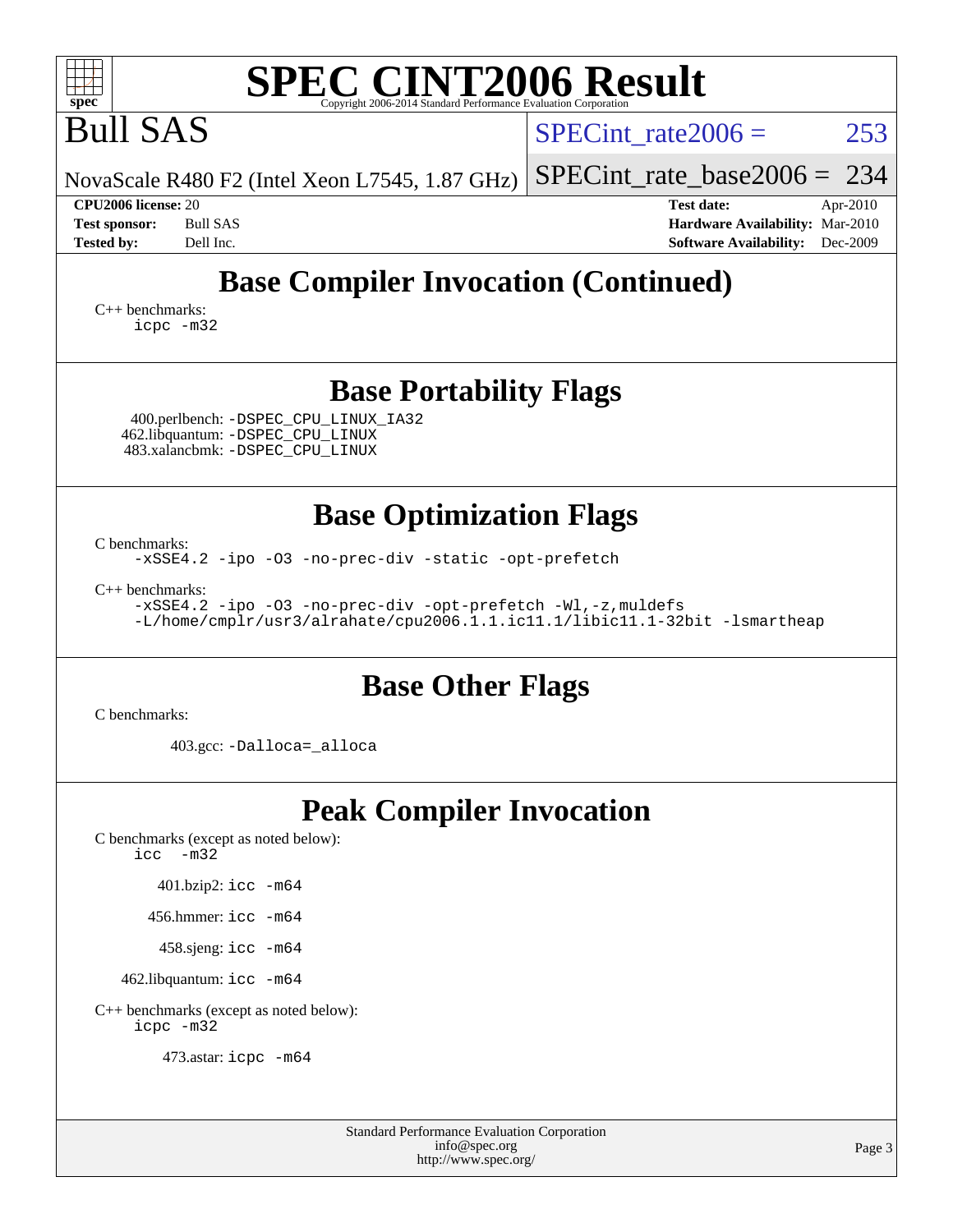| <b>SPEC CINT2006 Result</b><br>$spec^*$<br>Convright 2006-2014 Standard Performance Evaluation Corporation                                                                                                                                                                    |                                                                                                            |  |  |  |  |  |  |  |
|-------------------------------------------------------------------------------------------------------------------------------------------------------------------------------------------------------------------------------------------------------------------------------|------------------------------------------------------------------------------------------------------------|--|--|--|--|--|--|--|
| <b>Bull SAS</b>                                                                                                                                                                                                                                                               | 253<br>$SPECint \ rate2006 =$                                                                              |  |  |  |  |  |  |  |
| NovaScale R480 F2 (Intel Xeon L7545, 1.87 GHz)                                                                                                                                                                                                                                | $SPECint_rate_base2006 =$<br>234                                                                           |  |  |  |  |  |  |  |
| CPU2006 license: 20<br><b>Test sponsor:</b><br><b>Bull SAS</b><br><b>Tested by:</b><br>Dell Inc.                                                                                                                                                                              | <b>Test date:</b><br>Apr-2010<br>Hardware Availability: Mar-2010<br><b>Software Availability:</b> Dec-2009 |  |  |  |  |  |  |  |
| <b>Base Compiler Invocation (Continued)</b><br>$C_{++}$ benchmarks:<br>icpc -m32                                                                                                                                                                                              |                                                                                                            |  |  |  |  |  |  |  |
| <b>Base Portability Flags</b><br>400.perlbench: -DSPEC_CPU_LINUX_IA32<br>462.libquantum: - DSPEC_CPU_LINUX<br>483.xalancbmk: - DSPEC_CPU_LINUX                                                                                                                                |                                                                                                            |  |  |  |  |  |  |  |
| <b>Base Optimization Flags</b><br>C benchmarks:<br>-xSSE4.2 -ipo -03 -no-prec-div -static -opt-prefetch<br>$C_{++}$ benchmarks:<br>-xSSE4.2 -ipo -03 -no-prec-div -opt-prefetch -Wl,-z, muldefs<br>-L/home/cmplr/usr3/alrahate/cpu2006.1.1.ic11.1/libic11.1-32bit -lsmartheap |                                                                                                            |  |  |  |  |  |  |  |
| <b>Base Other Flags</b><br>C benchmarks:                                                                                                                                                                                                                                      |                                                                                                            |  |  |  |  |  |  |  |
| 403.gcc: -Dalloca=_alloca                                                                                                                                                                                                                                                     |                                                                                                            |  |  |  |  |  |  |  |
| <b>Peak Compiler Invocation</b><br>C benchmarks (except as noted below):<br>$-m32$<br>icc<br>401.bzip2: icc -m64<br>456.hmmer: icc -m64<br>458.sjeng: icc -m64<br>462.libquantum: icc -m64                                                                                    |                                                                                                            |  |  |  |  |  |  |  |
| C++ benchmarks (except as noted below):<br>icpc -m32                                                                                                                                                                                                                          |                                                                                                            |  |  |  |  |  |  |  |

473.astar: [icpc -m64](http://www.spec.org/cpu2006/results/res2010q3/cpu2006-20100621-11911.flags.html#user_peakCXXLD473_astar_intel_icpc_64bit_fc66a5337ce925472a5c54ad6a0de310)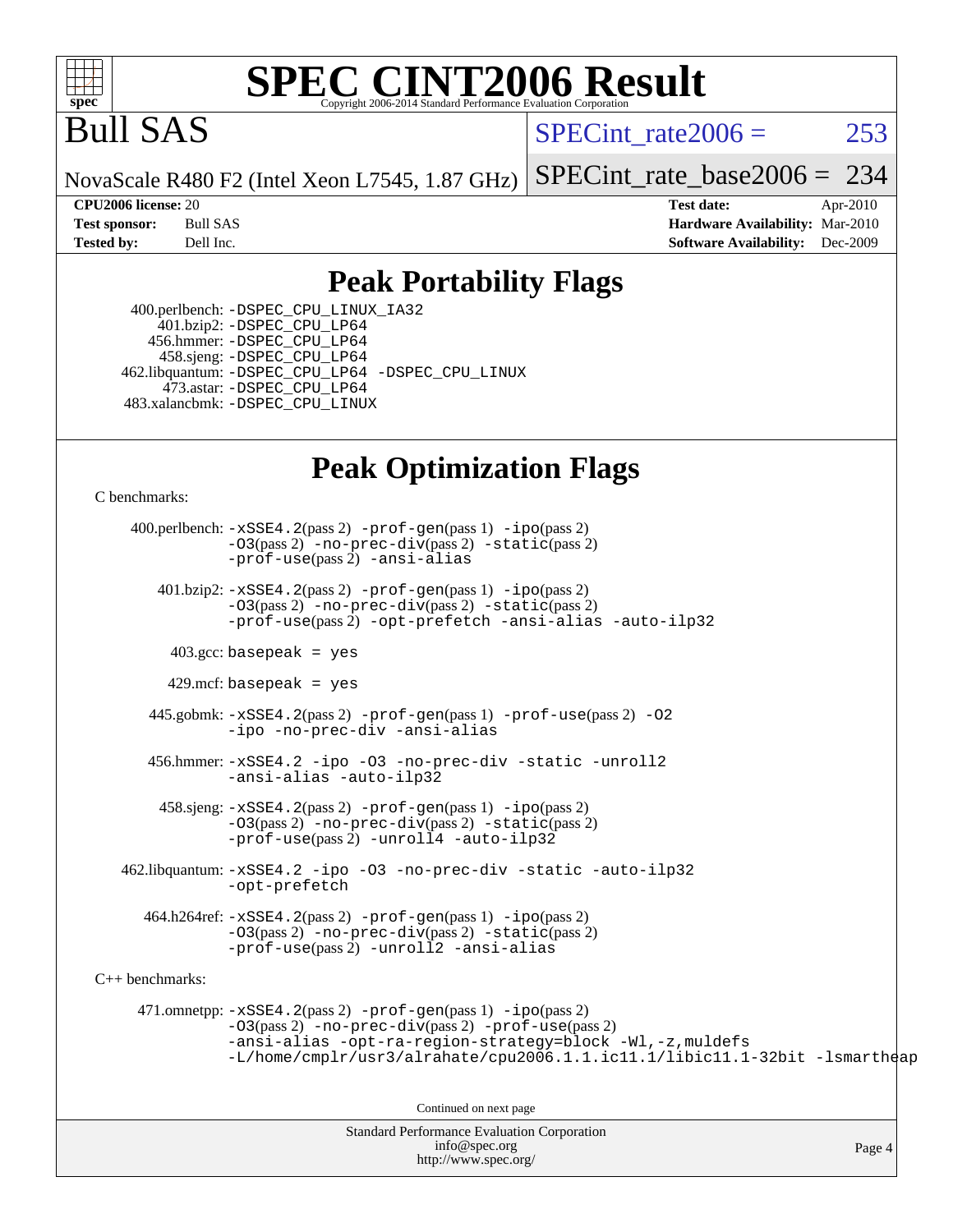

## **[SPEC CINT2006 Result](http://www.spec.org/auto/cpu2006/Docs/result-fields.html#SPECCINT2006Result)**

## Bull SAS

SPECint rate $2006 = 253$ 

NovaScale R480 F2 (Intel Xeon L7545, 1.87 GHz) [SPECint\\_rate\\_base2006 =](http://www.spec.org/auto/cpu2006/Docs/result-fields.html#SPECintratebase2006) 234

**[CPU2006 license:](http://www.spec.org/auto/cpu2006/Docs/result-fields.html#CPU2006license)** 20 **[Test date:](http://www.spec.org/auto/cpu2006/Docs/result-fields.html#Testdate)** Apr-2010 **[Test sponsor:](http://www.spec.org/auto/cpu2006/Docs/result-fields.html#Testsponsor)** Bull SAS **[Hardware Availability:](http://www.spec.org/auto/cpu2006/Docs/result-fields.html#HardwareAvailability)** Mar-2010 **[Tested by:](http://www.spec.org/auto/cpu2006/Docs/result-fields.html#Testedby)** Dell Inc. **[Software Availability:](http://www.spec.org/auto/cpu2006/Docs/result-fields.html#SoftwareAvailability)** Dec-2009

Page 4

#### **[Peak Portability Flags](http://www.spec.org/auto/cpu2006/Docs/result-fields.html#PeakPortabilityFlags)**

 400.perlbench: [-DSPEC\\_CPU\\_LINUX\\_IA32](http://www.spec.org/cpu2006/results/res2010q3/cpu2006-20100621-11911.flags.html#b400.perlbench_peakCPORTABILITY_DSPEC_CPU_LINUX_IA32) 401.bzip2: [-DSPEC\\_CPU\\_LP64](http://www.spec.org/cpu2006/results/res2010q3/cpu2006-20100621-11911.flags.html#suite_peakCPORTABILITY401_bzip2_DSPEC_CPU_LP64) 456.hmmer: [-DSPEC\\_CPU\\_LP64](http://www.spec.org/cpu2006/results/res2010q3/cpu2006-20100621-11911.flags.html#suite_peakCPORTABILITY456_hmmer_DSPEC_CPU_LP64) 458.sjeng: [-DSPEC\\_CPU\\_LP64](http://www.spec.org/cpu2006/results/res2010q3/cpu2006-20100621-11911.flags.html#suite_peakCPORTABILITY458_sjeng_DSPEC_CPU_LP64) 462.libquantum: [-DSPEC\\_CPU\\_LP64](http://www.spec.org/cpu2006/results/res2010q3/cpu2006-20100621-11911.flags.html#suite_peakCPORTABILITY462_libquantum_DSPEC_CPU_LP64) [-DSPEC\\_CPU\\_LINUX](http://www.spec.org/cpu2006/results/res2010q3/cpu2006-20100621-11911.flags.html#b462.libquantum_peakCPORTABILITY_DSPEC_CPU_LINUX) 473.astar: [-DSPEC\\_CPU\\_LP64](http://www.spec.org/cpu2006/results/res2010q3/cpu2006-20100621-11911.flags.html#suite_peakCXXPORTABILITY473_astar_DSPEC_CPU_LP64) 483.xalancbmk: [-DSPEC\\_CPU\\_LINUX](http://www.spec.org/cpu2006/results/res2010q3/cpu2006-20100621-11911.flags.html#b483.xalancbmk_peakCXXPORTABILITY_DSPEC_CPU_LINUX)

### **[Peak Optimization Flags](http://www.spec.org/auto/cpu2006/Docs/result-fields.html#PeakOptimizationFlags)**

[C benchmarks](http://www.spec.org/auto/cpu2006/Docs/result-fields.html#Cbenchmarks):

Standard Performance Evaluation Corporation 400.perlbench: [-xSSE4.2](http://www.spec.org/cpu2006/results/res2010q3/cpu2006-20100621-11911.flags.html#user_peakPASS2_CFLAGSPASS2_LDCFLAGS400_perlbench_f-xSSE42_f91528193cf0b216347adb8b939d4107)(pass 2) [-prof-gen](http://www.spec.org/cpu2006/results/res2010q3/cpu2006-20100621-11911.flags.html#user_peakPASS1_CFLAGSPASS1_LDCFLAGS400_perlbench_prof_gen_e43856698f6ca7b7e442dfd80e94a8fc)(pass 1) [-ipo](http://www.spec.org/cpu2006/results/res2010q3/cpu2006-20100621-11911.flags.html#user_peakPASS2_CFLAGSPASS2_LDCFLAGS400_perlbench_f-ipo)(pass 2) [-O3](http://www.spec.org/cpu2006/results/res2010q3/cpu2006-20100621-11911.flags.html#user_peakPASS2_CFLAGSPASS2_LDCFLAGS400_perlbench_f-O3)(pass 2) [-no-prec-div](http://www.spec.org/cpu2006/results/res2010q3/cpu2006-20100621-11911.flags.html#user_peakPASS2_CFLAGSPASS2_LDCFLAGS400_perlbench_f-no-prec-div)(pass 2) [-static](http://www.spec.org/cpu2006/results/res2010q3/cpu2006-20100621-11911.flags.html#user_peakPASS2_CFLAGSPASS2_LDCFLAGS400_perlbench_f-static)(pass 2) [-prof-use](http://www.spec.org/cpu2006/results/res2010q3/cpu2006-20100621-11911.flags.html#user_peakPASS2_CFLAGSPASS2_LDCFLAGS400_perlbench_prof_use_bccf7792157ff70d64e32fe3e1250b55)(pass 2) [-ansi-alias](http://www.spec.org/cpu2006/results/res2010q3/cpu2006-20100621-11911.flags.html#user_peakCOPTIMIZE400_perlbench_f-ansi-alias) 401.bzip2: [-xSSE4.2](http://www.spec.org/cpu2006/results/res2010q3/cpu2006-20100621-11911.flags.html#user_peakPASS2_CFLAGSPASS2_LDCFLAGS401_bzip2_f-xSSE42_f91528193cf0b216347adb8b939d4107)(pass 2) [-prof-gen](http://www.spec.org/cpu2006/results/res2010q3/cpu2006-20100621-11911.flags.html#user_peakPASS1_CFLAGSPASS1_LDCFLAGS401_bzip2_prof_gen_e43856698f6ca7b7e442dfd80e94a8fc)(pass 1) [-ipo](http://www.spec.org/cpu2006/results/res2010q3/cpu2006-20100621-11911.flags.html#user_peakPASS2_CFLAGSPASS2_LDCFLAGS401_bzip2_f-ipo)(pass 2) [-O3](http://www.spec.org/cpu2006/results/res2010q3/cpu2006-20100621-11911.flags.html#user_peakPASS2_CFLAGSPASS2_LDCFLAGS401_bzip2_f-O3)(pass 2) [-no-prec-div](http://www.spec.org/cpu2006/results/res2010q3/cpu2006-20100621-11911.flags.html#user_peakPASS2_CFLAGSPASS2_LDCFLAGS401_bzip2_f-no-prec-div)(pass 2) [-static](http://www.spec.org/cpu2006/results/res2010q3/cpu2006-20100621-11911.flags.html#user_peakPASS2_CFLAGSPASS2_LDCFLAGS401_bzip2_f-static)(pass 2) [-prof-use](http://www.spec.org/cpu2006/results/res2010q3/cpu2006-20100621-11911.flags.html#user_peakPASS2_CFLAGSPASS2_LDCFLAGS401_bzip2_prof_use_bccf7792157ff70d64e32fe3e1250b55)(pass 2) [-opt-prefetch](http://www.spec.org/cpu2006/results/res2010q3/cpu2006-20100621-11911.flags.html#user_peakCOPTIMIZE401_bzip2_f-opt-prefetch) [-ansi-alias](http://www.spec.org/cpu2006/results/res2010q3/cpu2006-20100621-11911.flags.html#user_peakCOPTIMIZE401_bzip2_f-ansi-alias) [-auto-ilp32](http://www.spec.org/cpu2006/results/res2010q3/cpu2006-20100621-11911.flags.html#user_peakCOPTIMIZE401_bzip2_f-auto-ilp32)  $403.\text{gcc: basepeak}$  = yes  $429$ .mcf: basepeak = yes 445.gobmk: [-xSSE4.2](http://www.spec.org/cpu2006/results/res2010q3/cpu2006-20100621-11911.flags.html#user_peakPASS2_CFLAGSPASS2_LDCFLAGS445_gobmk_f-xSSE42_f91528193cf0b216347adb8b939d4107)(pass 2) [-prof-gen](http://www.spec.org/cpu2006/results/res2010q3/cpu2006-20100621-11911.flags.html#user_peakPASS1_CFLAGSPASS1_LDCFLAGS445_gobmk_prof_gen_e43856698f6ca7b7e442dfd80e94a8fc)(pass 1) [-prof-use](http://www.spec.org/cpu2006/results/res2010q3/cpu2006-20100621-11911.flags.html#user_peakPASS2_CFLAGSPASS2_LDCFLAGS445_gobmk_prof_use_bccf7792157ff70d64e32fe3e1250b55)(pass 2) [-O2](http://www.spec.org/cpu2006/results/res2010q3/cpu2006-20100621-11911.flags.html#user_peakCOPTIMIZE445_gobmk_f-O2) [-ipo](http://www.spec.org/cpu2006/results/res2010q3/cpu2006-20100621-11911.flags.html#user_peakCOPTIMIZE445_gobmk_f-ipo) [-no-prec-div](http://www.spec.org/cpu2006/results/res2010q3/cpu2006-20100621-11911.flags.html#user_peakCOPTIMIZE445_gobmk_f-no-prec-div) [-ansi-alias](http://www.spec.org/cpu2006/results/res2010q3/cpu2006-20100621-11911.flags.html#user_peakCOPTIMIZE445_gobmk_f-ansi-alias) 456.hmmer: [-xSSE4.2](http://www.spec.org/cpu2006/results/res2010q3/cpu2006-20100621-11911.flags.html#user_peakCOPTIMIZE456_hmmer_f-xSSE42_f91528193cf0b216347adb8b939d4107) [-ipo](http://www.spec.org/cpu2006/results/res2010q3/cpu2006-20100621-11911.flags.html#user_peakCOPTIMIZE456_hmmer_f-ipo) [-O3](http://www.spec.org/cpu2006/results/res2010q3/cpu2006-20100621-11911.flags.html#user_peakCOPTIMIZE456_hmmer_f-O3) [-no-prec-div](http://www.spec.org/cpu2006/results/res2010q3/cpu2006-20100621-11911.flags.html#user_peakCOPTIMIZE456_hmmer_f-no-prec-div) [-static](http://www.spec.org/cpu2006/results/res2010q3/cpu2006-20100621-11911.flags.html#user_peakCOPTIMIZE456_hmmer_f-static) [-unroll2](http://www.spec.org/cpu2006/results/res2010q3/cpu2006-20100621-11911.flags.html#user_peakCOPTIMIZE456_hmmer_f-unroll_784dae83bebfb236979b41d2422d7ec2) [-ansi-alias](http://www.spec.org/cpu2006/results/res2010q3/cpu2006-20100621-11911.flags.html#user_peakCOPTIMIZE456_hmmer_f-ansi-alias) [-auto-ilp32](http://www.spec.org/cpu2006/results/res2010q3/cpu2006-20100621-11911.flags.html#user_peakCOPTIMIZE456_hmmer_f-auto-ilp32) 458.sjeng: [-xSSE4.2](http://www.spec.org/cpu2006/results/res2010q3/cpu2006-20100621-11911.flags.html#user_peakPASS2_CFLAGSPASS2_LDCFLAGS458_sjeng_f-xSSE42_f91528193cf0b216347adb8b939d4107)(pass 2) [-prof-gen](http://www.spec.org/cpu2006/results/res2010q3/cpu2006-20100621-11911.flags.html#user_peakPASS1_CFLAGSPASS1_LDCFLAGS458_sjeng_prof_gen_e43856698f6ca7b7e442dfd80e94a8fc)(pass 1) [-ipo](http://www.spec.org/cpu2006/results/res2010q3/cpu2006-20100621-11911.flags.html#user_peakPASS2_CFLAGSPASS2_LDCFLAGS458_sjeng_f-ipo)(pass 2) [-O3](http://www.spec.org/cpu2006/results/res2010q3/cpu2006-20100621-11911.flags.html#user_peakPASS2_CFLAGSPASS2_LDCFLAGS458_sjeng_f-O3)(pass 2) [-no-prec-div](http://www.spec.org/cpu2006/results/res2010q3/cpu2006-20100621-11911.flags.html#user_peakPASS2_CFLAGSPASS2_LDCFLAGS458_sjeng_f-no-prec-div)(pass 2) [-static](http://www.spec.org/cpu2006/results/res2010q3/cpu2006-20100621-11911.flags.html#user_peakPASS2_CFLAGSPASS2_LDCFLAGS458_sjeng_f-static)(pass 2) [-prof-use](http://www.spec.org/cpu2006/results/res2010q3/cpu2006-20100621-11911.flags.html#user_peakPASS2_CFLAGSPASS2_LDCFLAGS458_sjeng_prof_use_bccf7792157ff70d64e32fe3e1250b55)(pass 2) [-unroll4](http://www.spec.org/cpu2006/results/res2010q3/cpu2006-20100621-11911.flags.html#user_peakCOPTIMIZE458_sjeng_f-unroll_4e5e4ed65b7fd20bdcd365bec371b81f) [-auto-ilp32](http://www.spec.org/cpu2006/results/res2010q3/cpu2006-20100621-11911.flags.html#user_peakCOPTIMIZE458_sjeng_f-auto-ilp32) 462.libquantum: [-xSSE4.2](http://www.spec.org/cpu2006/results/res2010q3/cpu2006-20100621-11911.flags.html#user_peakCOPTIMIZE462_libquantum_f-xSSE42_f91528193cf0b216347adb8b939d4107) [-ipo](http://www.spec.org/cpu2006/results/res2010q3/cpu2006-20100621-11911.flags.html#user_peakCOPTIMIZE462_libquantum_f-ipo) [-O3](http://www.spec.org/cpu2006/results/res2010q3/cpu2006-20100621-11911.flags.html#user_peakCOPTIMIZE462_libquantum_f-O3) [-no-prec-div](http://www.spec.org/cpu2006/results/res2010q3/cpu2006-20100621-11911.flags.html#user_peakCOPTIMIZE462_libquantum_f-no-prec-div) [-static](http://www.spec.org/cpu2006/results/res2010q3/cpu2006-20100621-11911.flags.html#user_peakCOPTIMIZE462_libquantum_f-static) [-auto-ilp32](http://www.spec.org/cpu2006/results/res2010q3/cpu2006-20100621-11911.flags.html#user_peakCOPTIMIZE462_libquantum_f-auto-ilp32) [-opt-prefetch](http://www.spec.org/cpu2006/results/res2010q3/cpu2006-20100621-11911.flags.html#user_peakCOPTIMIZE462_libquantum_f-opt-prefetch) 464.h264ref: [-xSSE4.2](http://www.spec.org/cpu2006/results/res2010q3/cpu2006-20100621-11911.flags.html#user_peakPASS2_CFLAGSPASS2_LDCFLAGS464_h264ref_f-xSSE42_f91528193cf0b216347adb8b939d4107)(pass 2) [-prof-gen](http://www.spec.org/cpu2006/results/res2010q3/cpu2006-20100621-11911.flags.html#user_peakPASS1_CFLAGSPASS1_LDCFLAGS464_h264ref_prof_gen_e43856698f6ca7b7e442dfd80e94a8fc)(pass 1) [-ipo](http://www.spec.org/cpu2006/results/res2010q3/cpu2006-20100621-11911.flags.html#user_peakPASS2_CFLAGSPASS2_LDCFLAGS464_h264ref_f-ipo)(pass 2) [-O3](http://www.spec.org/cpu2006/results/res2010q3/cpu2006-20100621-11911.flags.html#user_peakPASS2_CFLAGSPASS2_LDCFLAGS464_h264ref_f-O3)(pass 2) [-no-prec-div](http://www.spec.org/cpu2006/results/res2010q3/cpu2006-20100621-11911.flags.html#user_peakPASS2_CFLAGSPASS2_LDCFLAGS464_h264ref_f-no-prec-div)(pass 2) [-static](http://www.spec.org/cpu2006/results/res2010q3/cpu2006-20100621-11911.flags.html#user_peakPASS2_CFLAGSPASS2_LDCFLAGS464_h264ref_f-static)(pass 2) [-prof-use](http://www.spec.org/cpu2006/results/res2010q3/cpu2006-20100621-11911.flags.html#user_peakPASS2_CFLAGSPASS2_LDCFLAGS464_h264ref_prof_use_bccf7792157ff70d64e32fe3e1250b55)(pass 2) [-unroll2](http://www.spec.org/cpu2006/results/res2010q3/cpu2006-20100621-11911.flags.html#user_peakCOPTIMIZE464_h264ref_f-unroll_784dae83bebfb236979b41d2422d7ec2) [-ansi-alias](http://www.spec.org/cpu2006/results/res2010q3/cpu2006-20100621-11911.flags.html#user_peakCOPTIMIZE464_h264ref_f-ansi-alias) [C++ benchmarks:](http://www.spec.org/auto/cpu2006/Docs/result-fields.html#CXXbenchmarks) 471.omnetpp: [-xSSE4.2](http://www.spec.org/cpu2006/results/res2010q3/cpu2006-20100621-11911.flags.html#user_peakPASS2_CXXFLAGSPASS2_LDCXXFLAGS471_omnetpp_f-xSSE42_f91528193cf0b216347adb8b939d4107)(pass 2) [-prof-gen](http://www.spec.org/cpu2006/results/res2010q3/cpu2006-20100621-11911.flags.html#user_peakPASS1_CXXFLAGSPASS1_LDCXXFLAGS471_omnetpp_prof_gen_e43856698f6ca7b7e442dfd80e94a8fc)(pass 1) [-ipo](http://www.spec.org/cpu2006/results/res2010q3/cpu2006-20100621-11911.flags.html#user_peakPASS2_CXXFLAGSPASS2_LDCXXFLAGS471_omnetpp_f-ipo)(pass 2) [-O3](http://www.spec.org/cpu2006/results/res2010q3/cpu2006-20100621-11911.flags.html#user_peakPASS2_CXXFLAGSPASS2_LDCXXFLAGS471_omnetpp_f-O3)(pass 2) [-no-prec-div](http://www.spec.org/cpu2006/results/res2010q3/cpu2006-20100621-11911.flags.html#user_peakPASS2_CXXFLAGSPASS2_LDCXXFLAGS471_omnetpp_f-no-prec-div)(pass 2) [-prof-use](http://www.spec.org/cpu2006/results/res2010q3/cpu2006-20100621-11911.flags.html#user_peakPASS2_CXXFLAGSPASS2_LDCXXFLAGS471_omnetpp_prof_use_bccf7792157ff70d64e32fe3e1250b55)(pass 2) [-ansi-alias](http://www.spec.org/cpu2006/results/res2010q3/cpu2006-20100621-11911.flags.html#user_peakCXXOPTIMIZE471_omnetpp_f-ansi-alias) [-opt-ra-region-strategy=block](http://www.spec.org/cpu2006/results/res2010q3/cpu2006-20100621-11911.flags.html#user_peakCXXOPTIMIZE471_omnetpp_f-opt-ra-region-strategy-block_a0a37c372d03933b2a18d4af463c1f69) [-Wl,-z,muldefs](http://www.spec.org/cpu2006/results/res2010q3/cpu2006-20100621-11911.flags.html#user_peakEXTRA_LDFLAGS471_omnetpp_link_force_multiple1_74079c344b956b9658436fd1b6dd3a8a) [-L/home/cmplr/usr3/alrahate/cpu2006.1.1.ic11.1/libic11.1-32bit -lsmartheap](http://www.spec.org/cpu2006/results/res2010q3/cpu2006-20100621-11911.flags.html#user_peakEXTRA_LIBS471_omnetpp_SmartHeap_d86dffe4a79b79ef8890d5cce17030c3) Continued on next page

[info@spec.org](mailto:info@spec.org) <http://www.spec.org/>